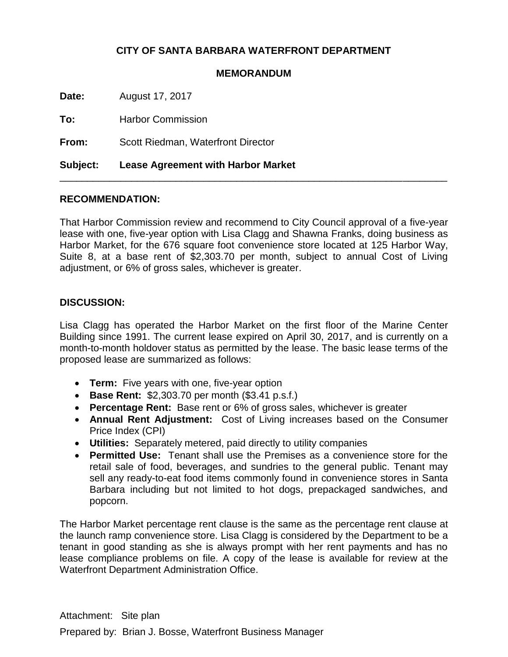## **CITY OF SANTA BARBARA WATERFRONT DEPARTMENT**

## **MEMORANDUM**

**Date:** August 17, 2017

**To:** Harbor Commission

**From:** Scott Riedman, Waterfront Director

**Subject: Lease Agreement with Harbor Market**

## **RECOMMENDATION:**

That Harbor Commission review and recommend to City Council approval of a five-year lease with one, five-year option with Lisa Clagg and Shawna Franks, doing business as Harbor Market, for the 676 square foot convenience store located at 125 Harbor Way, Suite 8, at a base rent of \$2,303.70 per month, subject to annual Cost of Living adjustment, or 6% of gross sales, whichever is greater.

\_\_\_\_\_\_\_\_\_\_\_\_\_\_\_\_\_\_\_\_\_\_\_\_\_\_\_\_\_\_\_\_\_\_\_\_\_\_\_\_\_\_\_\_\_\_\_\_\_\_\_\_\_\_\_\_\_\_\_\_\_\_\_\_\_\_\_\_\_\_

## **DISCUSSION:**

Lisa Clagg has operated the Harbor Market on the first floor of the Marine Center Building since 1991. The current lease expired on April 30, 2017, and is currently on a month-to-month holdover status as permitted by the lease. The basic lease terms of the proposed lease are summarized as follows:

- **Term:** Five years with one, five-year option
- **Base Rent:** \$2,303.70 per month (\$3.41 p.s.f.)
- **Percentage Rent:** Base rent or 6% of gross sales, whichever is greater
- **Annual Rent Adjustment:** Cost of Living increases based on the Consumer Price Index (CPI)
- **Utilities:** Separately metered, paid directly to utility companies
- **Permitted Use:** Tenant shall use the Premises as a convenience store for the retail sale of food, beverages, and sundries to the general public. Tenant may sell any ready-to-eat food items commonly found in convenience stores in Santa Barbara including but not limited to hot dogs, prepackaged sandwiches, and popcorn.

The Harbor Market percentage rent clause is the same as the percentage rent clause at the launch ramp convenience store. Lisa Clagg is considered by the Department to be a tenant in good standing as she is always prompt with her rent payments and has no lease compliance problems on file. A copy of the lease is available for review at the Waterfront Department Administration Office.